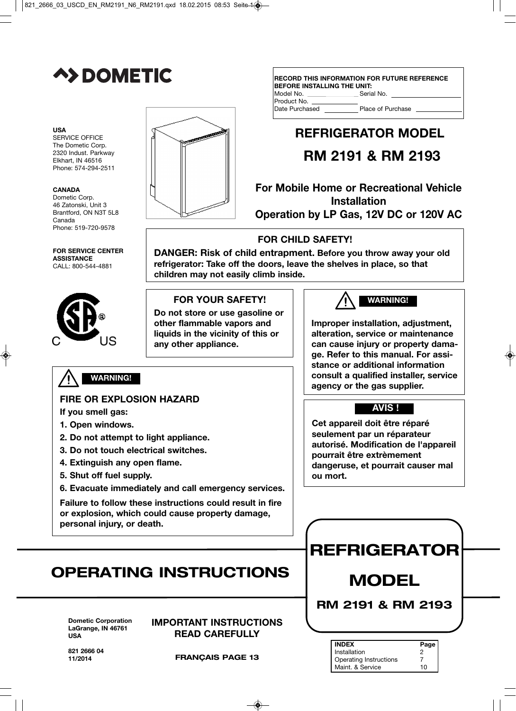

#### **USA**

SERVICE OFFICE The Dometic Corp. 2320 Indust. Parkway Elkhart, IN 46516 Phone: 574-294-2511

#### **CANADA**

Dometic Corp. 46 Zatonski, Unit 3 Brantford, ON N3T 5L8 Canada Phone: 519-720-9578

**FOR SERVICE CENTER ASSISTANCE** CALL: 800-544-4881



### **WARNING!**

#### **FIRE OR EXPLOSION HAZARD**

**If you smell gas:**

- **1. Open windows.**
- **2. Do not attempt to light appliance.**
- **3. Do not touch electrical switches.**
- **4. Extinguish any open flame.**
- **5. Shut off fuel supply.**
- **6. Evacuate immediately and call emergency services.**

**Failure to follow these instructions could result in fire or explosion, which could cause property damage, personal injury, or death.**

# **OPERATING INSTRUCTIONS**

**Dometic Corporation LaGrange, IN 46761 USA**

**IMPORTANT INSTRUCTIONS READ CAREFULLY**

821 **2666 0**4 **11/2014**

**FRANÇAIS PAGE 13**

| <b>RECORD THIS INFORMATION FOR FUTURE REFERENCE</b><br><b>BEFORE INSTALLING THE UNIT:</b> |                   |  |  |  |
|-------------------------------------------------------------------------------------------|-------------------|--|--|--|
| Model No.                                                                                 | Serial No.        |  |  |  |
| Product No.                                                                               |                   |  |  |  |
| Date Purchased                                                                            | Place of Purchase |  |  |  |
|                                                                                           |                   |  |  |  |

# **REFRIGERATOR MODEL**

# **RM 2191 & RM 2193**

**For Mobile Home or Recreational Vehicle Installation Operation by LP Gas, 12V DC or 120V AC**

### **FOR CHILD SAFETY!**

**DANGER: Risk of child entrapment. Before you throw away your old refrigerator: Take off the doors, leave the shelves in place, so that children may not easily climb inside.**

#### **FOR YOUR SAFETY!**

**Do not store or use gasoline or other flammable vapors and liquids in the vicinity of this or any other appliance.**

### **WARNING!**

**Improper installation, adjustment, alteration, service or maintenance can cause injury or property damage. Refer to this manual. For assistance or additional information consult a qualified installer, service agency or the gas supplier.**

### **AVIS !**

**Cet appareil doit être réparé seulement par un réparateur autorisé. Modification de l'appareil pourrait être extrèmement dangeruse, et pourrait causer mal ou mort.**

# **REFRIGERATOR**

# **MODEL**

**RM 2191 & RM 2193**

| <b>INDEX</b>                  | Page |
|-------------------------------|------|
| Installation                  |      |
| <b>Operating Instructions</b> |      |
| Maint. & Service              | 10   |

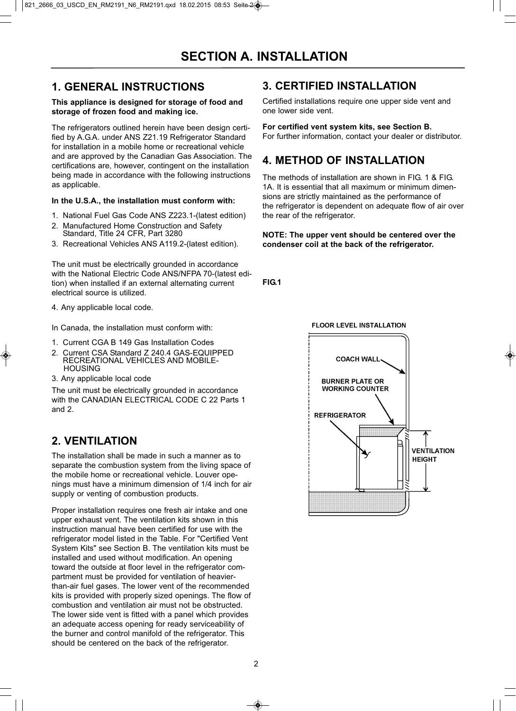### **1. GENERAL INSTRUCTIONS**

#### **This appliance is designed for storage of food and storage of frozen food and making ice.**

The refrigerators outlined herein have been design certified by A.G.A. under ANS Z21.19 Refrigerator Standard for installation in a mobile home or recreational vehicle and are approved by the Canadian Gas Association. The certifications are, however, contingent on the installation being made in accordance with the following instructions as applicable.

#### **In the U.S.A., the installation must conform with:**

- 1. National Fuel Gas Code ANS Z223.1-(latest edition)
- 2. Manufactured Home Construction and Safety Standard, Title 24 CFR, Part 3280
- 3. Recreational Vehicles ANS A119.2-(latest edition).

The unit must be electrically grounded in accordance with the National Electric Code ANS/NFPA 70-(latest edition) when installed if an external alternating current electrical source is utilized.

4. Any applicable local code.

In Canada, the installation must conform with:

- 1. Current CGA B 149 Gas Installation Codes
- 2. Current CSA Standard Z 240.4 GAS-EQUIPPED RECREATIONAL VEHICLES AND MOBILE-**HOUSING**
- 3. Any applicable local code

The unit must be electrically grounded in accordance with the CANADIAN ELECTRICAL CODE C 22 Parts 1 and 2.

### **2. VENTILATION**

The installation shall be made in such a manner as to separate the combustion system from the living space of the mobile home or recreational vehicle. Louver openings must have a minimum dimension of 1/4 inch for air supply or venting of combustion products.

Proper installation requires one fresh air intake and one upper exhaust vent. The ventilation kits shown in this instruction manual have been certified for use with the refrigerator model listed in the Table. For "Certified Vent System Kits" see Section B. The ventilation kits must be installed and used without modification. An opening toward the outside at floor level in the refrigerator compartment must be provided for ventilation of heavierthan-air fuel gases. The lower vent of the recommended kits is provided with properly sized openings. The flow of combustion and ventilation air must not be obstructed. The lower side vent is fitted with a panel which provides an adequate access opening for ready serviceability of the burner and control manifold of the refrigerator. This should be centered on the back of the refrigerator.

### **3. CERTIFIED INSTALLATION**

Certified installations require one upper side vent and one lower side vent.

#### **For certified vent system kits, see Section B.**

For further information, contact your dealer or distributor.

### **4. METHOD OF INSTALLATION**

The methods of installation are shown in FIG. 1 & FIG. 1A. It is essential that all maximum or minimum dimensions are strictly maintained as the performance of the refrigerator is dependent on adequate flow of air over the rear of the refrigerator.

#### **NOTE: The upper vent should be centered over the condenser coil at the back of the refrigerator.**

**FIG.1**

#### **FLOOR LEVEL INSTALLATION**

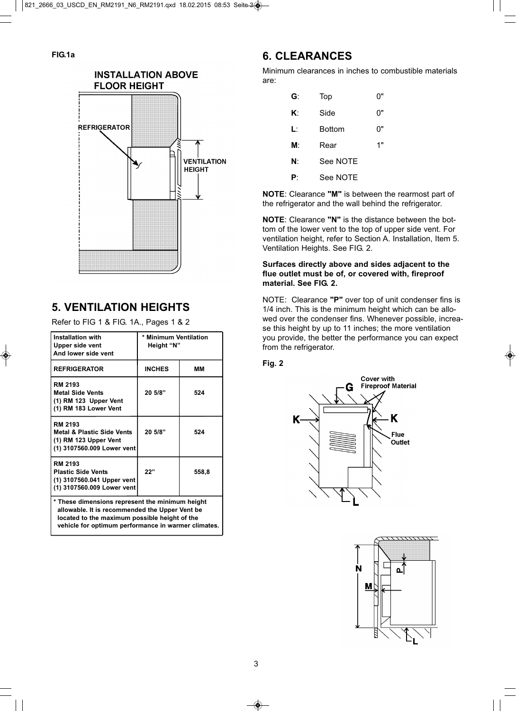

### **5. VENTILATION HEIGHTS**

Refer to FIG 1 & FIG. 1A., Pages 1 & 2

| <b>Installation with</b><br>Upper side vent<br>And lower side vent                                                                                                                                        | * Minimum Ventilation<br>Height "N" |       |  |
|-----------------------------------------------------------------------------------------------------------------------------------------------------------------------------------------------------------|-------------------------------------|-------|--|
| <b>REFRIGERATOR</b>                                                                                                                                                                                       | <b>INCHES</b>                       | MМ    |  |
| RM 2193<br><b>Metal Side Vents</b><br>(1) RM 123 Upper Vent<br>(1) RM 183 Lower Vent                                                                                                                      | 20 5/8"                             | 524   |  |
| <b>RM 2193</b><br><b>Metal &amp; Plastic Side Vents</b><br>(1) RM 123 Upper Vent<br>(1) 3107560.009 Lower vent                                                                                            | 20 5/8"                             | 524   |  |
| RM 2193<br><b>Plastic Side Vents</b><br>(1) 3107560.041 Upper vent<br>(1) 3107560.009 Lower vent                                                                                                          | 22"                                 | 558,8 |  |
| * These dimensions represent the minimum height<br>allowable. It is recommended the Upper Vent be<br>located to the maximum possible height of the<br>vehicle for optimum performance in warmer climates. |                                     |       |  |

### **6. CLEARANCES**

Minimum clearances in inches to combustible materials are:

| G: | Top      | U" |
|----|----------|----|
| K٠ | Side     | 0" |
| Ŀ  | Bottom   | 0" |
| M: | Rear     | 1" |
| N: | See NOTE |    |
| P٠ | See NOTE |    |

**NOTE**: Clearance **"M"** is between the rearmost part of the refrigerator and the wall behind the refrigerator.

**NOTE**: Clearance **"N"** is the distance between the bottom of the lower vent to the top of upper side vent. For ventilation height, refer to Section A. Installation, Item 5. Ventilation Heights. See FIG. 2.

#### **Surfaces directly above and sides adjacent to the flue outlet must be of, or covered with, fireproof material. See FIG. 2.**

NOTE: Clearance **"P"** over top of unit condenser fins is 1/4 inch. This is the minimum height which can be allowed over the condenser fins. Whenever possible, increase this height by up to 11 inches; the more ventilation you provide, the better the performance you can expect from the refrigerator.

#### **Fig. 2**



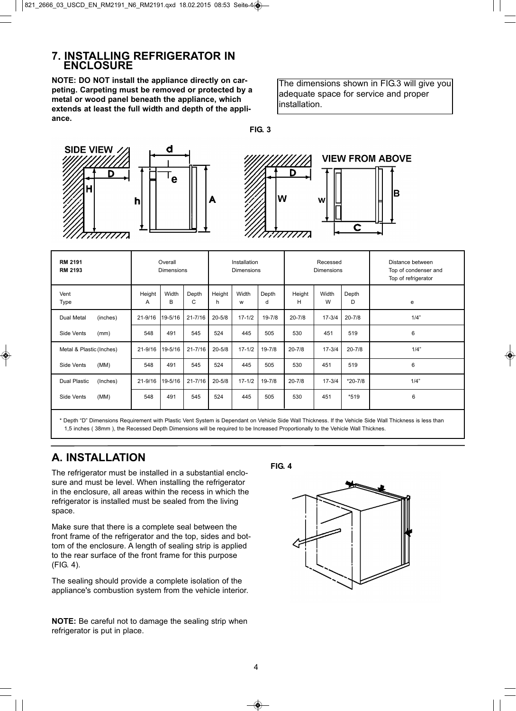### **7. INSTALLING REFRIGERATOR IN ENCLOSURE**

**NOTE: DO NOT install the appliance directly on carpeting. Carpeting must be removed or protected by a metal or wood panel beneath the appliance, which extends at least the full width and depth of the appliance.**

The dimensions shown in FIG.3 will give you adequate space for service and proper installation.

**FIG. 3**



| RM 2191<br><b>RM 2193</b>       |             | Overall<br><b>Dimensions</b> |             |             | Installation<br><b>Dimensions</b> |            |             | Recessed<br><b>Dimensions</b> |             | Distance between<br>Top of condenser and<br>Top of refrigerator |
|---------------------------------|-------------|------------------------------|-------------|-------------|-----------------------------------|------------|-------------|-------------------------------|-------------|-----------------------------------------------------------------|
| Vent<br>Type                    | Height<br>A | Width<br>в                   | Depth<br>C  | Height<br>h | Width<br>W                        | Depth<br>d | Height<br>н | Width<br>W                    | Depth<br>D  | e                                                               |
| (inches)<br>Dual Metal          | $21 - 9/16$ | 19-5/16                      | $21 - 7/16$ | $20 - 5/8$  | $17 - 1/2$                        | $19 - 7/8$ | $20 - 7/8$  | $17 - 3/4$                    | $20 - 7/8$  | 1/4"                                                            |
| Side Vents<br>(mm)              | 548         | 491                          | 545         | 524         | 445                               | 505        | 530         | 451                           | 519         | 6                                                               |
| Metal & Plastic (Inches)        | $21 - 9/16$ | 19-5/16                      | $21 - 7/16$ | $20 - 5/8$  | $17 - 1/2$                        | 19-7/8     | $20 - 7/8$  | $17 - 3/4$                    | $20 - 7/8$  | 1/4"                                                            |
| (MM)<br>Side Vents              | 548         | 491                          | 545         | 524         | 445                               | 505        | 530         | 451                           | 519         | 6                                                               |
| <b>Dual Plastic</b><br>(Inches) | $21 - 9/16$ | 19-5/16                      | $21 - 7/16$ | $20 - 5/8$  | $17 - 1/2$                        | 19-7/8     | $20 - 7/8$  | $17 - 3/4$                    | $*20 - 7/8$ | 1/4"                                                            |
| (MM)<br>Side Vents              | 548         | 491                          | 545         | 524         | 445                               | 505        | 530         | 451                           | $*519$      | 6                                                               |

\* Depth "D" Dimensions Requirement with Plastic Vent System is Dependant on Vehicle Side Wall Thickness. If the Vehicle Side Wall Thickness is less than 1,5 inches ( 38mm ), the Recessed Depth Dimensions will be required to be Increased Proportionally to the Vehicle Wall Thicknes.

### **A. INSTALLATION**

The refrigerator must be installed in a substantial enclosure and must be level. When installing the refrigerator in the enclosure, all areas within the recess in which the refrigerator is installed must be sealed from the living space.

Make sure that there is a complete seal between the front frame of the refrigerator and the top, sides and bottom of the enclosure. A length of sealing strip is applied to the rear surface of the front frame for this purpose (FIG. 4).

The sealing should provide a complete isolation of the appliance's combustion system from the vehicle interior.

**NOTE:** Be careful not to damage the sealing strip when refrigerator is put in place.

**FIG. 4**

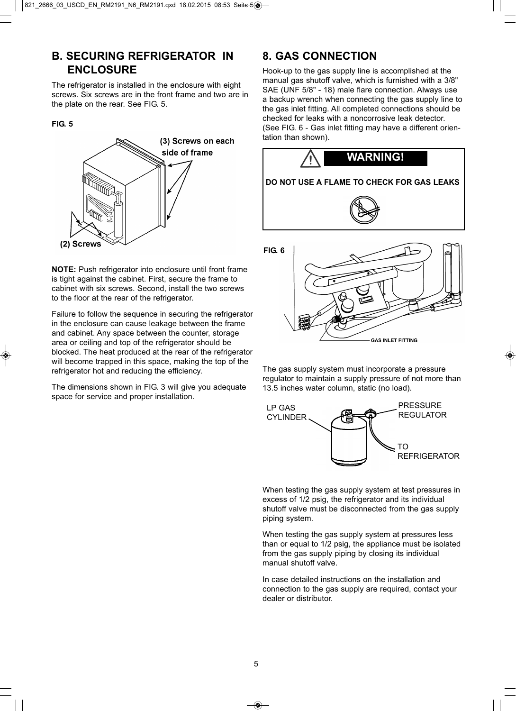### **B. SECURING REFRIGERATOR IN ENCLOSURE**

The refrigerator is installed in the enclosure with eight screws. Six screws are in the front frame and two are in the plate on the rear. See FIG. 5.

#### **FIG. 5**



**NOTE:** Push refrigerator into enclosure until front frame is tight against the cabinet. First, secure the frame to cabinet with six screws. Second, install the two screws to the floor at the rear of the refrigerator.

Failure to follow the sequence in securing the refrigerator in the enclosure can cause leakage between the frame and cabinet. Any space between the counter, storage area or ceiling and top of the refrigerator should be blocked. The heat produced at the rear of the refrigerator will become trapped in this space, making the top of the refrigerator hot and reducing the efficiency.

The dimensions shown in FIG. 3 will give you adequate space for service and proper installation.

### **8. GAS CONNECTION**

Hook-up to the gas supply line is accomplished at the manual gas shutoff valve, which is furnished with a 3/8" SAE (UNF 5/8" - 18) male flare connection. Always use a backup wrench when connecting the gas supply line to the gas inlet fitting. All completed connections should be checked for leaks with a noncorrosive leak detector. (See FIG. 6 - Gas inlet fitting may have a different orientation than shown).





The gas supply system must incorporate a pressure regulator to maintain a supply pressure of not more than 13.5 inches water column, static (no load).



When testing the gas supply system at test pressures in excess of 1/2 psig, the refrigerator and its individual shutoff valve must be disconnected from the gas supply piping system.

When testing the gas supply system at pressures less than or equal to 1/2 psig, the appliance must be isolated from the gas supply piping by closing its individual manual shutoff valve.

In case detailed instructions on the installation and connection to the gas supply are required, contact your dealer or distributor.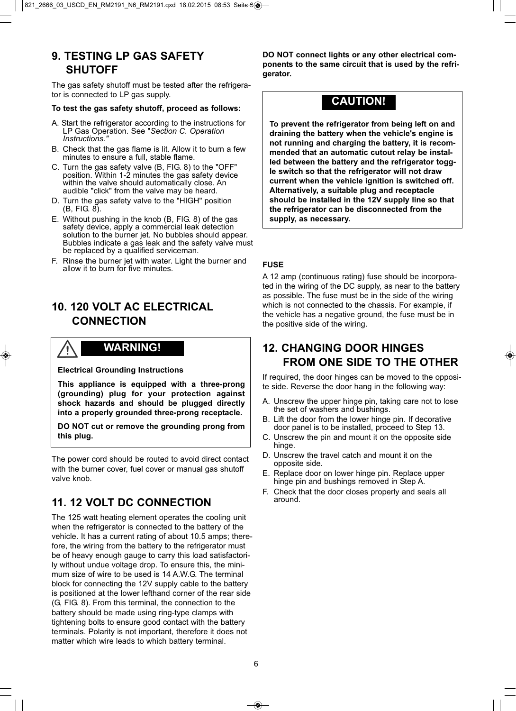### **9. TESTING LP GAS SAFETY SHUTOFF**

The gas safety shutoff must be tested after the refrigerator is connected to LP gas supply.

#### **To test the gas safety shutoff, proceed as follows:**

- A. Start the refrigerator according to the instructions for LP Gas Operation. See "Section C. Operation Instructions."
- B. Check that the gas flame is lit. Allow it to burn a few minutes to ensure a full, stable flame.
- C. Turn the gas safety valve (B, FIG. 8) to the "OFF" position. Within 1-2 minutes the gas safety device within the valve should automatically close. An audible "click" from the valve may be heard.
- D. Turn the gas safety valve to the "HIGH" position (B, FIG. 8).
- E. Without pushing in the knob (B, FIG. 8) of the gas safety device, apply a commercial leak detection solution to the burner jet. No bubbles should appear. Bubbles indicate a gas leak and the safety valve must be replaced by a qualified serviceman.
- F. Rinse the burner jet with water. Light the burner and allow it to burn for five minutes.

### **10. 120 VOLT AC ELECTRICAL CONNECTION**

### **WARNING!**

**Electrical Grounding Instructions**

**This appliance is equipped with a three-prong (grounding) plug for your protection against shock hazards and should be plugged directly into a properly grounded three-prong receptacle.** 

**DO NOT cut or remove the grounding prong from this plug.**

The power cord should be routed to avoid direct contact with the burner cover, fuel cover or manual gas shutoff valve knob.

### **11. 12 VOLT DC CONNECTION**

The 125 watt heating element operates the cooling unit when the refrigerator is connected to the battery of the vehicle. It has a current rating of about 10.5 amps; therefore, the wiring from the battery to the refrigerator must be of heavy enough gauge to carry this load satisfactorily without undue voltage drop. To ensure this, the minimum size of wire to be used is 14 A.W.G. The terminal block for connecting the 12V supply cable to the battery is positioned at the lower lefthand corner of the rear side (G, FIG. 8). From this terminal, the connection to the battery should be made using ring-type clamps with tightening bolts to ensure good contact with the battery terminals. Polarity is not important, therefore it does not matter which wire leads to which battery terminal.

**DO NOT connect lights or any other electrical components to the same circuit that is used by the refrigerator.**

### **CAUTION!**

**To prevent the refrigerator from being left on and draining the battery when the vehicle's engine is not running and charging the battery, it is recommended that an automatic cutout relay be installed between the battery and the refrigerator toggle switch so that the refrigerator will not draw current when the vehicle ignition is switched off. Alternatively, a suitable plug and receptacle should be installed in the 12V supply line so that the refrigerator can be disconnected from the supply, as necessary.**

#### **FUSE**

A 12 amp (continuous rating) fuse should be incorporated in the wiring of the DC supply, as near to the battery as possible. The fuse must be in the side of the wiring which is not connected to the chassis. For example, if the vehicle has a negative ground, the fuse must be in the positive side of the wiring.

### **12. CHANGING DOOR HINGES FROM ONE SIDE TO THE OTHER**

If required, the door hinges can be moved to the opposite side. Reverse the door hang in the following way:

- A. Unscrew the upper hinge pin, taking care not to lose the set of washers and bushings.
- B. Lift the door from the lower hinge pin. If decorative door panel is to be installed, proceed to Step 13.
- C. Unscrew the pin and mount it on the opposite side hinge.
- D. Unscrew the travel catch and mount it on the opposite side.
- E. Replace door on lower hinge pin. Replace upper hinge pin and bushings removed in Step A.
- F. Check that the door closes properly and seals all around.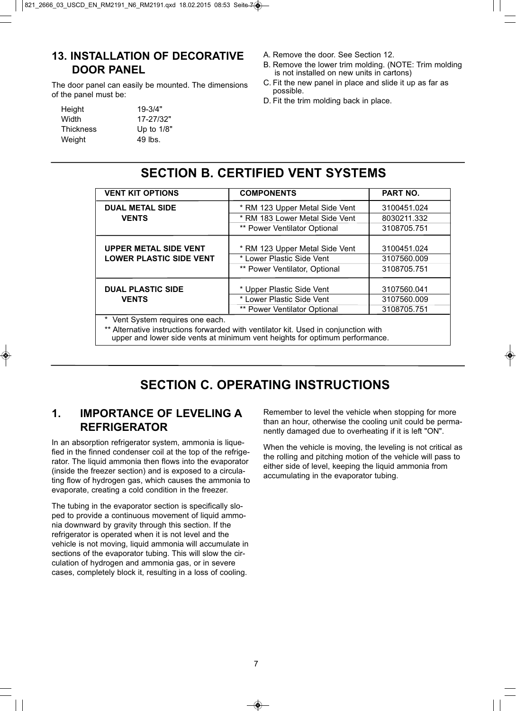### **13. INSTALLATION OF DECORATIVE DOOR PANEL**

The door panel can easily be mounted. The dimensions of the panel must be:

| Height    | $19 - 3/4"$  |
|-----------|--------------|
| Width     | 17-27/32"    |
| Thickness | Up to $1/8"$ |
| Weight    | 49 lbs.      |
|           |              |

- A. Remove the door. See Section 12.
- B. Remove the lower trim molding. (NOTE: Trim molding is not installed on new units in cartons)
- C. Fit the new panel in place and slide it up as far as possible.
- D. Fit the trim molding back in place.

## **SECTION B. CERTIFIED VENT SYSTEMS**

| <b>VENT KIT OPTIONS</b>                                                                                                                                                                                | <b>COMPONENTS</b>              | <b>PART NO.</b>            |  |
|--------------------------------------------------------------------------------------------------------------------------------------------------------------------------------------------------------|--------------------------------|----------------------------|--|
| <b>DUAL METAL SIDE</b>                                                                                                                                                                                 | * RM 123 Upper Metal Side Vent | 3100451.024                |  |
| <b>VENTS</b>                                                                                                                                                                                           | * RM 183 Lower Metal Side Vent | 8030211.332                |  |
|                                                                                                                                                                                                        | ** Power Ventilator Optional   | 3108705.751                |  |
| <b>UPPER METAL SIDE VENT</b>                                                                                                                                                                           | * RM 123 Upper Metal Side Vent | 3100451.024<br>3107560.009 |  |
| <b>LOWER PLASTIC SIDE VENT</b>                                                                                                                                                                         | * Lower Plastic Side Vent      |                            |  |
|                                                                                                                                                                                                        | ** Power Ventilator, Optional  | 3108705.751                |  |
| <b>DUAL PLASTIC SIDE</b>                                                                                                                                                                               | * Upper Plastic Side Vent      | 3107560.041                |  |
| <b>VENTS</b>                                                                                                                                                                                           | * Lower Plastic Side Vent      | 3107560.009                |  |
|                                                                                                                                                                                                        | ** Power Ventilator Optional   | 3108705.751                |  |
| * Vent System requires one each.<br>** Alternative instructions forwarded with ventilator kit. Used in conjunction with<br>upper and lower side vents at minimum vent heights for optimum performance. |                                |                            |  |

# **SECTION C. OPERATING INSTRUCTIONS**

### **1. IMPORTANCE OF LEVELING A REFRIGERATOR**

In an absorption refrigerator system, ammonia is liquefied in the finned condenser coil at the top of the refrigerator. The liquid ammonia then flows into the evaporator (inside the freezer section) and is exposed to a circulating flow of hydrogen gas, which causes the ammonia to evaporate, creating a cold condition in the freezer.

The tubing in the evaporator section is specifically sloped to provide a continuous movement of liquid ammonia downward by gravity through this section. If the refrigerator is operated when it is not level and the vehicle is not moving, liquid ammonia will accumulate in sections of the evaporator tubing. This will slow the circulation of hydrogen and ammonia gas, or in severe cases, completely block it, resulting in a loss of cooling.

Remember to level the vehicle when stopping for more than an hour, otherwise the cooling unit could be permanently damaged due to overheating if it is left "ON".

When the vehicle is moving, the leveling is not critical as the rolling and pitching motion of the vehicle will pass to either side of level, keeping the liquid ammonia from accumulating in the evaporator tubing.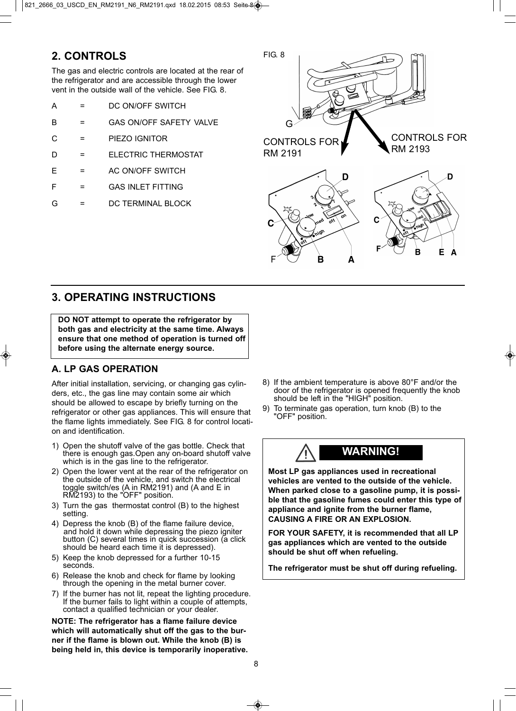### **2. CONTROLS**

The gas and electric controls are located at the rear of the refrigerator and are accessible through the lower vent in the outside wall of the vehicle. See FIG. 8.

| А | DC ON/OFF SWITCH |
|---|------------------|
|   |                  |

- B = GAS ON/OFF SAFETY VALVE
- C = PIEZO IGNITOR
- D = ELECTRIC THERMOSTAT
- $E = AC ON/OFF SWITCH$
- F = GAS INLET FITTING
- G = DC TERMINAL BLOCK



### **3. OPERATING INSTRUCTIONS**

**DO NOT attempt to operate the refrigerator by both gas and electricity at the same time. Always ensure that one method of operation is turned off before using the alternate energy source.**

### **A. LP GAS OPERATION**

After initial installation, servicing, or changing gas cylinders, etc., the gas line may contain some air which should be allowed to escape by briefly turning on the refrigerator or other gas appliances. This will ensure that the flame lights immediately. See FIG. 8 for control location and identification.

- 1) Open the shutoff valve of the gas bottle. Check that there is enough gas.Open any on-board shutoff valve which is in the gas line to the refrigerator.
- 2) Open the lower vent at the rear of the refrigerator on the outside of the vehicle, and switch the electrical toggle switch/es (A in RM2191) and (A and E in RM2193) to the "OFF" position.
- 3) Turn the gas thermostat control (B) to the highest setting.
- 4) Depress the knob (B) of the flame failure device, and hold it down while depressing the piezo igniter button (C) several times in quick succession (a click should be heard each time it is depressed).
- 5) Keep the knob depressed for a further 10-15 seconds.
- 6) Release the knob and check for flame by looking through the opening in the metal burner cover.
- 7) If the burner has not lit, repeat the lighting procedure. If the burner fails to light within a couple of attempts, contact a qualified technician or your dealer.

**NOTE: The refrigerator has a flame failure device which will automatically shut off the gas to the burner if the flame is blown out. While the knob (B) is being held in, this device is temporarily inoperative.**

- 8) If the ambient temperature is above 80°F and/or the door of the refrigerator is opened frequently the knob should be left in the "HIGH" position.
- 9) To terminate gas operation, turn knob (B) to the "OFF" position.



**Most LP gas appliances used in recreational vehicles are vented to the outside of the vehicle. When parked close to a gasoline pump, it is possible that the gasoline fumes could enter this type of appliance and ignite from the burner flame, CAUSING A FIRE OR AN EXPLOSION.**

**FOR YOUR SAFETY, it is recommended that all LP gas appliances which are vented to the outside should be shut off when refueling.**

**The refrigerator must be shut off during refueling.**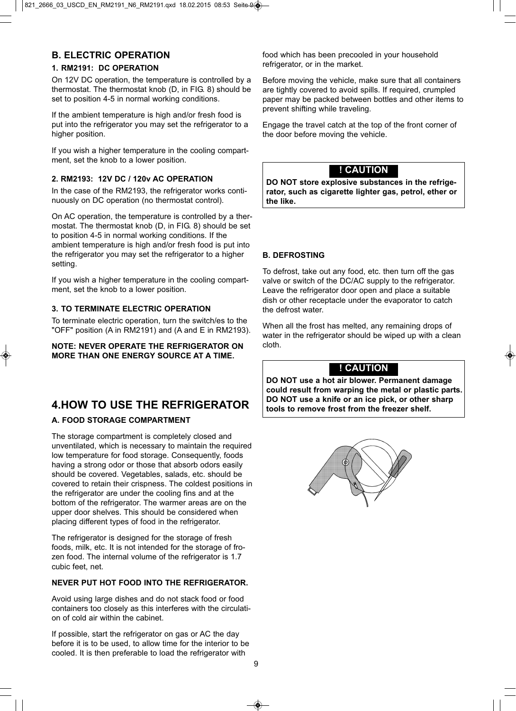#### **B. ELECTRIC OPERATION**

#### **1. RM2191: DC OPERATION**

On 12V DC operation, the temperature is controlled by a thermostat. The thermostat knob (D, in FIG. 8) should be set to position 4-5 in normal working conditions.

If the ambient temperature is high and/or fresh food is put into the refrigerator you may set the refrigerator to a higher position.

If you wish a higher temperature in the cooling compartment, set the knob to a lower position.

#### **2. RM2193: 12V DC / 120v AC OPERATION**

In the case of the RM2193, the refrigerator works continuously on DC operation (no thermostat control).

On AC operation, the temperature is controlled by a thermostat. The thermostat knob (D, in FIG. 8) should be set to position 4-5 in normal working conditions. If the ambient temperature is high and/or fresh food is put into the refrigerator you may set the refrigerator to a higher setting.

If you wish a higher temperature in the cooling compartment, set the knob to a lower position.

#### **3. TO TERMINATE ELECTRIC OPERATION**

To terminate electric operation, turn the switch/es to the "OFF" position (A in RM2191) and (A and E in RM2193).

**NOTE: NEVER OPERATE THE REFRIGERATOR ON MORE THAN ONE ENERGY SOURCE AT A TIME.**

### **4.HOW TO USE THE REFRIGERATOR**

#### **A. FOOD STORAGE COMPARTMENT**

The storage compartment is completely closed and unventilated, which is necessary to maintain the required low temperature for food storage. Consequently, foods having a strong odor or those that absorb odors easily should be covered. Vegetables, salads, etc. should be covered to retain their crispness. The coldest positions in the refrigerator are under the cooling fins and at the bottom of the refrigerator. The warmer areas are on the upper door shelves. This should be considered when placing different types of food in the refrigerator.

The refrigerator is designed for the storage of fresh foods, milk, etc. It is not intended for the storage of frozen food. The internal volume of the refrigerator is 1.7 cubic feet, net.

#### **NEVER PUT HOT FOOD INTO THE REFRIGERATOR.**

Avoid using large dishes and do not stack food or food containers too closely as this interferes with the circulation of cold air within the cabinet.

If possible, start the refrigerator on gas or AC the day before it is to be used, to allow time for the interior to be cooled. It is then preferable to load the refrigerator with

food which has been precooled in your household refrigerator, or in the market.

Before moving the vehicle, make sure that all containers are tightly covered to avoid spills. If required, crumpled paper may be packed between bottles and other items to prevent shifting while traveling.

Engage the travel catch at the top of the front corner of the door before moving the vehicle.

#### **! CAUTION**

**DO NOT store explosive substances in the refrigerator, such as cigarette lighter gas, petrol, ether or the like.**

#### **B. DEFROSTING**

To defrost, take out any food, etc. then turn off the gas valve or switch of the DC/AC supply to the refrigerator. Leave the refrigerator door open and place a suitable dish or other receptacle under the evaporator to catch the defrost water.

When all the frost has melted, any remaining drops of water in the refrigerator should be wiped up with a clean cloth.

### **! CAUTION**

**DO NOT use a hot air blower. Permanent damage could result from warping the metal or plastic parts. DO NOT use a knife or an ice pick, or other sharp tools to remove frost from the freezer shelf.**

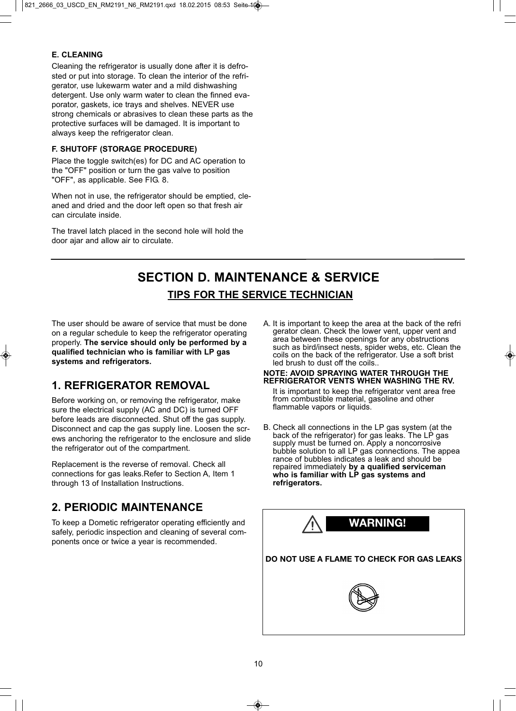#### **E. CLEANING**

Cleaning the refrigerator is usually done after it is defrosted or put into storage. To clean the interior of the refrigerator, use lukewarm water and a mild dishwashing detergent. Use only warm water to clean the finned evaporator, gaskets, ice trays and shelves. NEVER use strong chemicals or abrasives to clean these parts as the protective surfaces will be damaged. It is important to always keep the refrigerator clean.

#### **F. SHUTOFF (STORAGE PROCEDURE)**

Place the toggle switch(es) for DC and AC operation to the "OFF" position or turn the gas valve to position "OFF", as applicable. See FIG. 8.

When not in use, the refrigerator should be emptied, cleaned and dried and the door left open so that fresh air can circulate inside.

The travel latch placed in the second hole will hold the door ajar and allow air to circulate.

# **SECTION D. MAINTENANCE & SERVICE TIPS FOR THE SERVICE TECHNICIAN**

The user should be aware of service that must be done on a regular schedule to keep the refrigerator operating properly. **The service should only be performed by a qualified technician who is familiar with LP gas systems and refrigerators.**

### **1. REFRIGERATOR REMOVAL**

Before working on, or removing the refrigerator, make sure the electrical supply (AC and DC) is turned OFF before leads are disconnected. Shut off the gas supply. Disconnect and cap the gas supply line. Loosen the screws anchoring the refrigerator to the enclosure and slide the refrigerator out of the compartment.

Replacement is the reverse of removal. Check all connections for gas leaks.Refer to Section A, Item 1 through 13 of Installation Instructions.

### **2. PERIODIC MAINTENANCE**

To keep a Dometic refrigerator operating efficiently and safely, periodic inspection and cleaning of several components once or twice a year is recommended.

A. It is important to keep the area at the back of the refri gerator clean. Check the lower vent, upper vent and area between these openings for any obstructions such as bird/insect nests, spider webs, etc. Clean the coils on the back of the refrigerator. Use a soft brist led brush to dust off the coils..

#### **NOTE: AVOID SPRAYING WATER THROUGH THE REFRIGERATOR VENTS WHEN WASHING THE RV.**

It is important to keep the refrigerator vent area free from combustible material, gasoline and other flammable vapors or liquids.

B. Check all connections in the LP gas system (at the back of the refrigerator) for gas leaks. The LP gas supply must be turned on. Apply a noncorrosive bubble solution to all LP gas connections. The appea rance of bubbles indicates a leak and should be repaired immediately **by a qualified serviceman who is familiar with LP gas systems and refrigerators.**

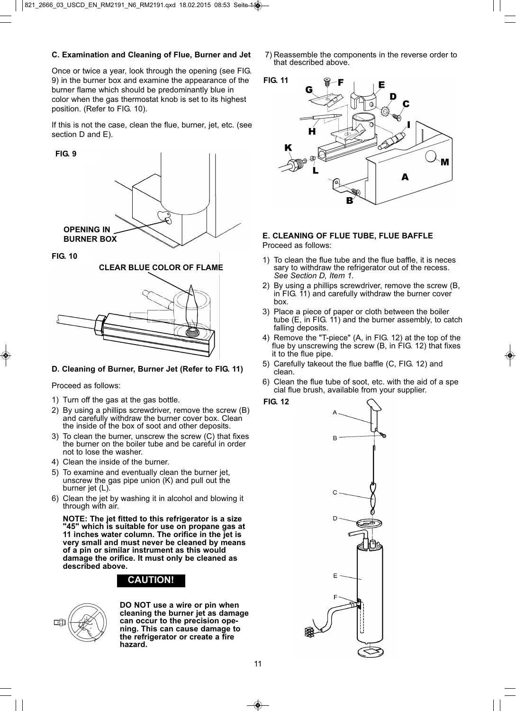#### **C. Examination and Cleaning of Flue, Burner and Jet**

Once or twice a year, look through the opening (see FIG. 9) in the burner box and examine the appearance of the burner flame which should be predominantly blue in color when the gas thermostat knob is set to its highest position. (Refer to FIG. 10).

If this is not the case, clean the flue, burner, jet, etc. (see section D and E).

#### **FIG. 9**



**FIG. 10**



#### **D. Cleaning of Burner, Burner Jet (Refer to FIG. 11)**

Proceed as follows:

- 1) Turn off the gas at the gas bottle.
- 2) By using a phillips screwdriver, remove the screw (B) and carefully withdraw the burner cover box. Clean the inside of the box of soot and other deposits.
- 3) To clean the burner, unscrew the screw (C) that fixes the burner on the boiler tube and be careful in order not to lose the washer.
- 4) Clean the inside of the burner.
- 5) To examine and eventually clean the burner jet, unscrew the gas pipe union (K) and pull out the burner jet (L).
- 6) Clean the jet by washing it in alcohol and blowing it through with air.

**NOTE: The jet fitted to this refrigerator is a size "45" which is suitable for use on propane gas at 11 inches water column. The orifice in the jet is very small and must never be cleaned by means of a pin or similar instrument as this would damage the orifice. It must only be cleaned as described above.**

### **CAUTION!**



**DO NOT use a wire or pin when cleaning the burner jet as damage can occur to the precision opening. This can cause damage to the refrigerator or create a fire hazard.**

7) Reassemble the components in the reverse order to that described above.





### **E. CLEANING OF FLUE TUBE, FLUE BAFFLE**

Proceed as follows:

- 1) To clean the flue tube and the flue baffle, it is neces sary to withdraw the refrigerator out of the recess. See Section D, Item 1.
- 2) By using a phillips screwdriver, remove the screw (B, in FIG. 11) and carefully withdraw the burner cover box.
- 3) Place a piece of paper or cloth between the boiler tube (E, in FIG. 11) and the burner assembly, to catch falling deposits.
- 4) Remove the "T-piece" (A, in FIG. 12) at the top of the flue by unscrewing the screw (B, in FIG. 12) that fixes it to the flue pipe.
- 5) Carefully takeout the flue baffle (C, FIG. 12) and clean.
- 6) Clean the flue tube of soot, etc. with the aid of a spe cial flue brush, available from your supplier.



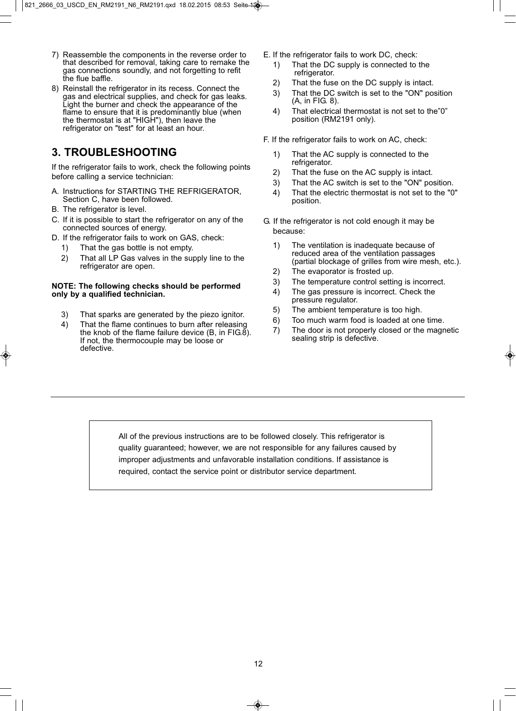- 7) Reassemble the components in the reverse order to that described for removal, taking care to remake the gas connections soundly, and not forgetting to refit the flue baffle.
- 8) Reinstall the refrigerator in its recess. Connect the gas and electrical supplies, and check for gas leaks. Light the burner and check the appearance of the flame to ensure that it is predominantly blue (when the thermostat is at "HIGH"), then leave the refrigerator on "test" for at least an hour.

### **3. TROUBLESHOOTING**

If the refrigerator fails to work, check the following points before calling a service technician:

- A. Instructions for STARTING THE REFRIGERATOR, Section C, have been followed.
- B. The refrigerator is level.
- C. If it is possible to start the refrigerator on any of the connected sources of energy.
- D. If the refrigerator fails to work on GAS, check:
	- 1) That the gas bottle is not empty.
	- 2) That all LP Gas valves in the supply line to the refrigerator are open.

#### **NOTE: The following checks should be performed only by a qualified technician.**

- 3) That sparks are generated by the piezo ignitor.
- 4) That the flame continues to burn after releasing the knob of the flame failure device  $(B, \text{ in } FlG. \delta)$ . If not, the thermocouple may be loose or defective.
- E. If the refrigerator fails to work DC, check:
	- 1) That the DC supply is connected to the refrigerator.
	- 2) That the fuse on the DC supply is intact.
	- 3) That the DC switch is set to the "ON" position (A, in FIG. 8).
	- 4) That electrical thermostat is not set to the"0" position (RM2191 only).
- F. If the refrigerator fails to work on AC, check:
	- 1) That the AC supply is connected to the refrigerator.
	- 2) That the fuse on the AC supply is intact.
	- 3) That the AC switch is set to the "ON" position.
	- 4) That the electric thermostat is not set to the "0" position.
- G. If the refrigerator is not cold enough it may be because:
	- 1) The ventilation is inadequate because of reduced area of the ventilation passages (partial blockage of grilles from wire mesh, etc.).
	- 2) The evaporator is frosted up.
	- 3) The temperature control setting is incorrect.
	- 4) The gas pressure is incorrect. Check the pressure regulator.
	- 5) The ambient temperature is too high.
	- 6) Too much warm food is loaded at one time.
	- 7) The door is not properly closed or the magnetic sealing strip is defective.

All of the previous instructions are to be followed closely. This refrigerator is quality guaranteed; however, we are not responsible for any failures caused by improper adjustments and unfavorable installation conditions. If assistance is required, contact the service point or distributor service department.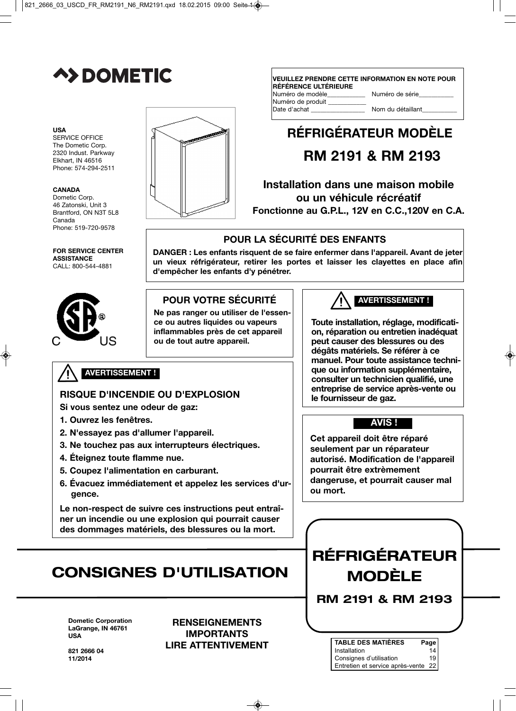

#### **USA**

SERVICE OFFICE The Dometic Corp. 2320 Indust. Parkway Elkhart, IN 46516 Phone: 574-294-2511

#### **CANADA**

Dometic Corp. 46 Zatonski, Unit 3 Brantford, ON N3T 5L8 Canada Phone: 519-720-9578

#### **FOR SERVICE CENTER ASSISTANCE** CALL: 800-544-4881





#### **VEUILLEZ PRENDRE CETTE INFORMATION EN NOTE POUR RÉFÉRENCE ULTÉRIEURE<br>Numéro de modèle** Numéro de série

| <u>National de Inducio</u> | <b>THATTIOLO QUITO</b> |
|----------------------------|------------------------|
| Numéro de produit          |                        |
| Date d'achat               | Nom du détaillant      |
|                            |                        |

# **RÉFRIGÉRATEUR MODÈLE**

# **RM 2191 & RM 2193**

**Installation dans une maison mobile ou un véhicule récréatif Fonctionne au G.P.L., 12V en C.C.,120V en C.A.**

### **POUR LA SÉCURITÉ DES ENFANTS**

**DANGER : Les enfants risquent de se faire enfermer dans l'appareil. Avant de jeter un vieux réfrigérateur, retirer les portes et laisser les clayettes en place afin d'empêcher les enfants d'y pénétrer.**

### **POUR VOTRE SÉCURITÉ**

**Ne pas ranger ou utiliser de l'essence ou autres liquides ou vapeurs inflammables près de cet appareil ou de tout autre appareil.**

### **AVERTISSEMENT !**

### **RISQUE D'INCENDIE OU D'EXPLOSION**

- **Si vous sentez une odeur de gaz:**
- **1. Ouvrez les fenêtres.**
- **2. N'essayez pas d'allumer l'appareil.**
- **3. Ne touchez pas aux interrupteurs électriques.**
- **4. Éteignez toute flamme nue.**
- **5. Coupez l'alimentation en carburant.**
- **6. Évacuez immédiatement et appelez les services d'urgence.**

**Le non-respect de suivre ces instructions peut entraîner un incendie ou une explosion qui pourrait causer des dommages matériels, des blessures ou la mort.**

# **CONSIGNES D'UTILISATION**

**Dometic Corporation LaGrange, IN 46761 USA**

**RENSEIGNEMENTS IMPORTANTS LIRE ATTENTIVEMENT** **AVERTISSEMENT !** 

**Toute installation, réglage, modification, réparation ou entretien inadéquat peut causer des blessures ou des dégâts matériels. Se référer à ce manuel. Pour toute assistance technique ou information supplémentaire, consulter un technicien qualifié, une entreprise de service après-vente ou le fournisseur de gaz.**

### **AVIS !**

**Cet appareil doit être réparé seulement par un réparateur autorisé. Modification de l'appareil pourrait être extrèmement dangeruse, et pourrait causer mal ou mort.**

# **RÉFRIGÉRATEUR MODÈLE**

**RM 2191 & RM 2193**

| <b>TABLE DES MATIÈRES</b>           | Page            |
|-------------------------------------|-----------------|
| Installation                        | 14              |
| Consignes d'utilisation             | 19 <sup>1</sup> |
| Entretien et service après-vente 22 |                 |

821 **2666 0**4 **11/2014**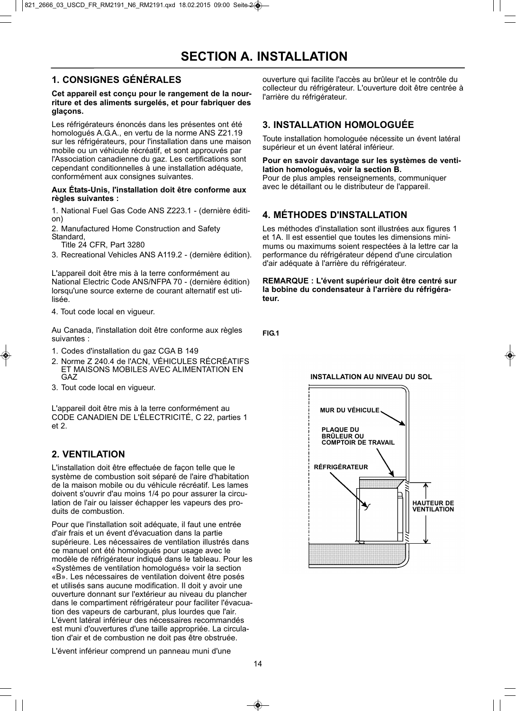### **1. CONSIGNES GÉNÉRALES**

#### **Cet appareil est conçu pour le rangement de la nourriture et des aliments surgelés, et pour fabriquer des glaçons.**

Les réfrigérateurs énoncés dans les présentes ont été homologués A.G.A., en vertu de la norme ANS Z21.19 sur les réfrigérateurs, pour l'installation dans une maison mobile ou un véhicule récréatif, et sont approuvés par l'Association canadienne du gaz. Les certifications sont cependant conditionnelles à une installation adéquate, conformément aux consignes suivantes.

#### **Aux États-Unis, l'installation doit être conforme aux règles suivantes :**

1. National Fuel Gas Code ANS Z223.1 - (dernière édition)

2. Manufactured Home Construction and Safety Standard,

Title 24 CFR, Part 3280

3. Recreational Vehicles ANS A119.2 - (dernière édition).

L'appareil doit être mis à la terre conformément au National Electric Code ANS/NFPA 70 - (dernière édition) lorsqu'une source externe de courant alternatif est utilisée.

4. Tout code local en vigueur.

Au Canada, l'installation doit être conforme aux règles suivantes :

- 1. Codes d'installation du gaz CGA B 149
- 2. Norme Z 240.4 de l'ACN, VÉHICULES RÉCRÉATIFS ET MAISONS MOBILES AVEC ALIMENTATION EN GAZ
- 3. Tout code local en vigueur.

L'appareil doit être mis à la terre conformément au CODE CANADIEN DE L'ÉLECTRICITÉ, C 22, parties 1 et 2.

### **2. VENTILATION**

L'installation doit être effectuée de façon telle que le système de combustion soit séparé de l'aire d'habitation de la maison mobile ou du véhicule récréatif. Les lames doivent s'ouvrir d'au moins 1/4 po pour assurer la circulation de l'air ou laisser échapper les vapeurs des produits de combustion.

Pour que l'installation soit adéquate, il faut une entrée d'air frais et un évent d'évacuation dans la partie supérieure. Les nécessaires de ventilation illustrés dans ce manuel ont été homologués pour usage avec le modèle de réfrigérateur indiqué dans le tableau. Pour les «Systèmes de ventilation homologués» voir la section «B». Les nécessaires de ventilation doivent être posés et utilisés sans aucune modification. Il doit y avoir une ouverture donnant sur l'extérieur au niveau du plancher dans le compartiment réfrigérateur pour faciliter l'évacuation des vapeurs de carburant, plus lourdes que l'air. L'évent latéral inférieur des nécessaires recommandés est muni d'ouvertures d'une taille appropriée. La circulation d'air et de combustion ne doit pas être obstruée.

ouverture qui facilite l'accès au brûleur et le contrôle du collecteur du réfrigérateur. L'ouverture doit être centrée à l'arrière du réfrigérateur.

#### **3. INSTALLATION HOMOLOGUÉE**

Toute installation homologuée nécessite un évent latéral supérieur et un évent latéral inférieur.

#### **Pour en savoir davantage sur les systèmes de ventilation homologués, voir la section B.**

Pour de plus amples renseignements, communiquer avec le détaillant ou le distributeur de l'appareil.

### **4. MÉTHODES D'INSTALLATION**

Les méthodes d'installation sont illustrées aux figures 1 et 1A. Il est essentiel que toutes les dimensions minimums ou maximums soient respectées à la lettre car la performance du réfrigérateur dépend d'une circulation d'air adéquate à l'arrière du réfrigérateur.

**REMARQUE : L'évent supérieur doit être centré sur la bobine du condensateur à l'arrière du réfrigérateur.** 

**FIG.1**

#### **INSTALLATION AU NIVEAU DU SOL**



L'évent inférieur comprend un panneau muni d'une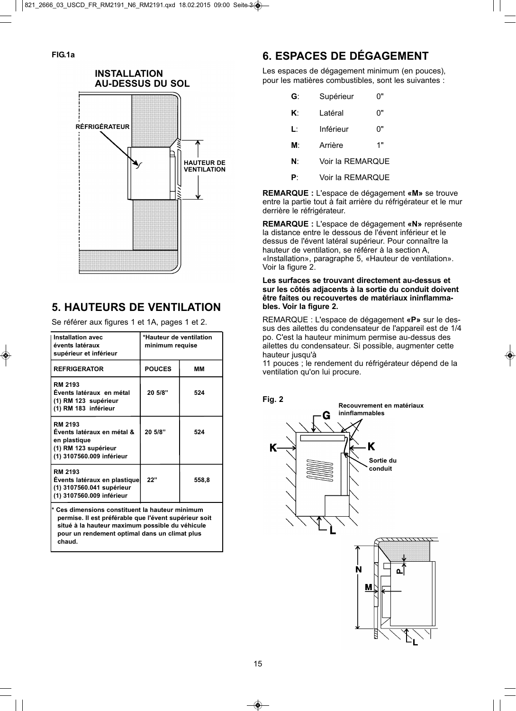#### **INSTALLATION AU-DESSUS DU SOL**



### **5. HAUTEURS DE VENTILATION**

Se référer aux figures 1 et 1A, pages 1 et 2.

| Installation avec<br>évents latéraux<br>supérieur et inférieur                                                    | *Hauteur de ventilation<br>minimum requise |       |  |  |
|-------------------------------------------------------------------------------------------------------------------|--------------------------------------------|-------|--|--|
| <b>REFRIGERATOR</b>                                                                                               | <b>POUCES</b>                              | MМ    |  |  |
| <b>RM 2193</b><br>Évents latéraux en métal<br>(1) RM 123 supérieur<br>(1) RM 183 inférieur                        | 20 5/8"                                    | 524   |  |  |
| <b>RM 2193</b><br>Évents latéraux en métal &<br>en plastique<br>(1) RM 123 supérieur<br>(1) 3107560.009 inférieur | 20 5/8"                                    | 524   |  |  |
| <b>RM 2193</b><br>Events latéraux en plastique<br>(1) 3107560.041 supérieur<br>(1) 3107560.009 inférieur          | 22"                                        | 558,8 |  |  |
| بالمسمام ومسالس مر<br>وومقودهما مالفسموطالمسم                                                                     |                                            |       |  |  |

**\* Ces dimensions constituent la hauteur minimum permise. Il est préférable que l'évent supérieur soit situé à la hauteur maximum possible du véhicule pour un rendement optimal dans un climat plus chaud.**

### **6. ESPACES DE DÉGAGEMENT**

Les espaces de dégagement minimum (en pouces), pour les matières combustibles, sont les suivantes :

| G: | Supérieur        | ()" |
|----|------------------|-----|
| K۰ | I atéral         | 0"  |
| Ŀ  | Inférieur        | יים |
| м٠ | Arrière          | 1"  |
| N۰ | Voir la REMARQUE |     |

**P**: Voir la REMARQUE

**REMARQUE :** L'espace de dégagement **«M»** se trouve entre la partie tout à fait arrière du réfrigérateur et le mur derrière le réfrigérateur.

**REMARQUE :** L'espace de dégagement **«N»** représente la distance entre le dessous de l'évent inférieur et le dessus de l'évent latéral supérieur. Pour connaître la hauteur de ventilation, se référer à la section A, «Installation», paragraphe 5, «Hauteur de ventilation». Voir la figure 2.

#### **Les surfaces se trouvant directement au-dessus et sur les côtés adjacents à la sortie du conduit doivent être faites ou recouvertes de matériaux ininflammables. Voir la figure 2.**

REMARQUE : L'espace de dégagement **«P»** sur le dessus des ailettes du condensateur de l'appareil est de 1/4 po. C'est la hauteur minimum permise au-dessus des ailettes du condensateur. Si possible, augmenter cette hauteur jusqu'à

11 pouces ; le rendement du réfrigérateur dépend de la ventilation qu'on lui procure.

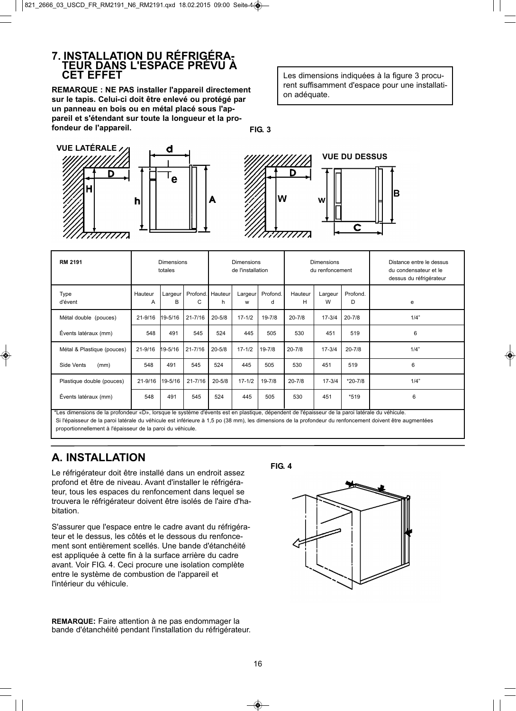# **7. INSTALLATION DU RÉFRIGÉRA- TEUR DANS L'ESPACE PRÉVU À CET EFFET**

**REMARQUE : NE PAS installer l'appareil directement sur le tapis. Celui-ci doit être enlevé ou protégé par un panneau en bois ou en métal placé sous l'appareil et s'étendant sur toute la longueur et la profondeur de l'appareil.**

Les dimensions indiquées à la figure 3 procurent suffisamment d'espace pour une installation adéquate.

**FIG. 3**







| <b>RM 2191</b>                                                                                                                                                                                                                                         | <b>Dimensions</b><br>totales |              |             | <b>Dimensions</b><br>de l'installation |              |               | Dimensions<br>du renfoncement |              |               | Distance entre le dessus<br>du condensateur et le<br>dessus du réfrigérateur |
|--------------------------------------------------------------------------------------------------------------------------------------------------------------------------------------------------------------------------------------------------------|------------------------------|--------------|-------------|----------------------------------------|--------------|---------------|-------------------------------|--------------|---------------|------------------------------------------------------------------------------|
| Type<br>d'évent                                                                                                                                                                                                                                        | Hauteur<br>A                 | Largeur<br>В | C           | Profond.   Hauteur<br>h.               | Largeur<br>W | Profond.<br>d | Hauteur<br>н                  | Largeur<br>W | Profond.<br>D | e                                                                            |
| Métal double (pouces)                                                                                                                                                                                                                                  | $21 - 9/16$                  | 19-5/16      | $21 - 7/16$ | $20 - 5/8$                             | $17 - 1/2$   | $19 - 7/8$    | $20 - 7/8$                    | $17 - 3/4$   | $20 - 7/8$    | 1/4"                                                                         |
| Évents latéraux (mm)                                                                                                                                                                                                                                   | 548                          | 491          | 545         | 524                                    | 445          | 505           | 530                           | 451          | 519           | 6                                                                            |
| Métal & Plastique (pouces)                                                                                                                                                                                                                             | 21-9/16                      | $19 - 5/16$  | $21 - 7/16$ | $20 - 5/8$                             | $17 - 1/2$   | $19 - 7/8$    | $20 - 7/8$                    | $17 - 3/4$   | $20 - 7/8$    | 1/4"                                                                         |
| Side Vents<br>(mm)                                                                                                                                                                                                                                     | 548                          | 491          | 545         | 524                                    | 445          | 505           | 530                           | 451          | 519           | 6                                                                            |
| Plastique double (pouces)                                                                                                                                                                                                                              | $21 - 9/16$                  | 19-5/16      | $21 - 7/16$ | $20 - 5/8$                             | $17 - 1/2$   | $19 - 7/8$    | $20 - 7/8$                    | $17 - 3/4$   | $*20 - 7/8$   | 1/4"                                                                         |
| Évents latéraux (mm)<br>the adjustment on the problem in the language of the second and constant the problem of the problem of a problem in the second of the second of the second of the second of the second of the second of the second of the seco | 548                          | 491          | 545         | 524                                    | 445          | 505           | 530                           | 451          | *519          | 6                                                                            |

» est en plastique, dépendent de l'épaisseur de la paroi latéra Si l'épaisseur de la paroi latérale du véhicule est inférieure à 1,5 po (38 mm), les dimensions de la profondeur du renfoncement doivent être augmentées proportionnellement à l'épaisseur de la paroi du véhicule.

### **A. INSTALLATION**

Le réfrigérateur doit être installé dans un endroit assez profond et être de niveau. Avant d'installer le réfrigérateur, tous les espaces du renfoncement dans lequel se trouvera le réfrigérateur doivent être isolés de l'aire d'habitation.

S'assurer que l'espace entre le cadre avant du réfrigérateur et le dessus, les côtés et le dessous du renfoncement sont entièrement scellés. Une bande d'étanchéité est appliquée à cette fin à la surface arrière du cadre avant. Voir FIG. 4. Ceci procure une isolation complète entre le système de combustion de l'appareil et l'intérieur du véhicule.

**REMARQUE:** Faire attention à ne pas endommager la bande d'étanchéité pendant l'installation du réfrigérateur. **FIG. 4**

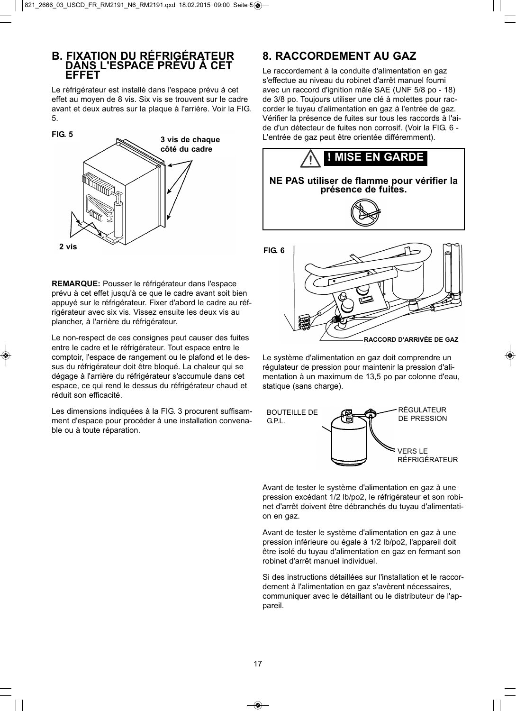# **B. FIXATION DU RÉFRIGÉRATEUR DANS L'ESPACE PRÉVU À CET EFFET**

Le réfrigérateur est installé dans l'espace prévu à cet effet au moyen de 8 vis. Six vis se trouvent sur le cadre avant et deux autres sur la plaque à l'arrière. Voir la FIG. 5.



**REMARQUE:** Pousser le réfrigérateur dans l'espace prévu à cet effet jusqu'à ce que le cadre avant soit bien appuyé sur le réfrigérateur. Fixer d'abord le cadre au réfrigérateur avec six vis. Vissez ensuite les deux vis au plancher, à l'arrière du réfrigérateur.

Le non-respect de ces consignes peut causer des fuites entre le cadre et le réfrigérateur. Tout espace entre le comptoir, l'espace de rangement ou le plafond et le dessus du réfrigérateur doit être bloqué. La chaleur qui se dégage à l'arrière du réfrigérateur s'accumule dans cet espace, ce qui rend le dessus du réfrigérateur chaud et réduit son efficacité.

Les dimensions indiquées à la FIG. 3 procurent suffisamment d'espace pour procéder à une installation convenable ou à toute réparation.

## **8. RACCORDEMENT AU GAZ**

Le raccordement à la conduite d'alimentation en gaz s'effectue au niveau du robinet d'arrêt manuel fourni avec un raccord d'ignition mâle SAE (UNF 5/8 po - 18) de 3/8 po. Toujours utiliser une clé à molettes pour raccorder le tuyau d'alimentation en gaz à l'entrée de gaz. Vérifier la présence de fuites sur tous les raccords à l'aide d'un détecteur de fuites non corrosif. (Voir la FIG. 6 - L'entrée de gaz peut être orientée différemment).



**NE PAS utiliser de flamme pour vérifier la présence de fuites.**



Le système d'alimentation en gaz doit comprendre un régulateur de pression pour maintenir la pression d'alimentation à un maximum de 13,5 po par colonne d'eau, statique (sans charge).



Avant de tester le système d'alimentation en gaz à une pression excédant 1/2 lb/po2, le réfrigérateur et son robinet d'arrêt doivent être débranchés du tuyau d'alimentation en gaz.

Avant de tester le système d'alimentation en gaz à une pression inférieure ou égale à 1/2 lb/po2, l'appareil doit être isolé du tuyau d'alimentation en gaz en fermant son robinet d'arrêt manuel individuel.

Si des instructions détaillées sur l'installation et le raccordement à l'alimentation en gaz s'avèrent nécessaires, communiquer avec le détaillant ou le distributeur de l'appareil.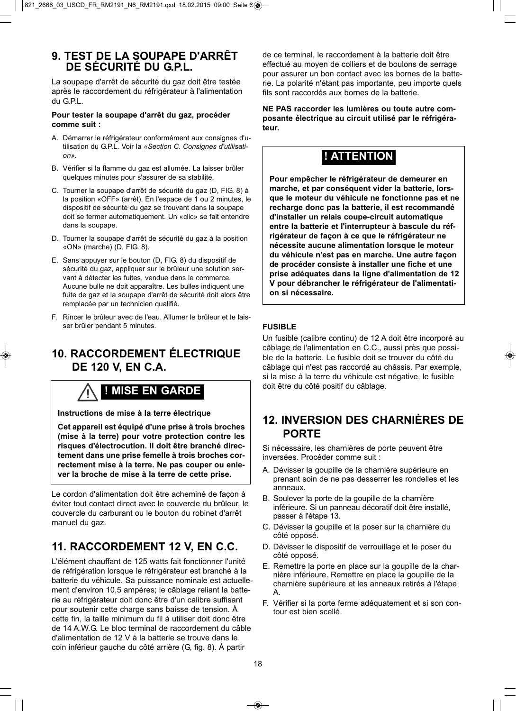### **9. TEST DE LA SOUPAPE D'ARRÊT DE SÉCURITÉ DU G.P.L.**

La soupape d'arrêt de sécurité du gaz doit être testée après le raccordement du réfrigérateur à l'alimentation du G.P.L.

#### **Pour tester la soupape d'arrêt du gaz, procéder comme suit :**

- A. Démarrer le réfrigérateur conformément aux consignes d'utilisation du G.P.L. Voir la «Section C. Consignes d'utilisation».
- B. Vérifier si la flamme du gaz est allumée. La laisser brûler quelques minutes pour s'assurer de sa stabilité.
- C. Tourner la soupape d'arrêt de sécurité du gaz (D, FIG. 8) à la position «OFF» (arrêt). En l'espace de 1 ou 2 minutes, le dispositif de sécurité du gaz se trouvant dans la soupape doit se fermer automatiquement. Un «clic» se fait entendre dans la soupape.
- D. Tourner la soupape d'arrêt de sécurité du gaz à la position «ON» (marche) (D, FIG. 8).
- E. Sans appuyer sur le bouton (D, FIG. 8) du dispositif de sécurité du gaz, appliquer sur le brûleur une solution servant à détecter les fuites, vendue dans le commerce. Aucune bulle ne doit apparaître. Les bulles indiquent une fuite de gaz et la soupape d'arrêt de sécurité doit alors être remplacée par un technicien qualifié.
- F. Rincer le brûleur avec de l'eau. Allumer le brûleur et le laisser brûler pendant 5 minutes.

### **10. RACCORDEMENT ÉLECTRIQUE DE 120 V, EN C.A.**

# **! MISE EN GARDE**

**Instructions de mise à la terre électrique**

**Cet appareil est équipé d'une prise à trois broches (mise à la terre) pour votre protection contre les risques d'électrocution. Il doit être branché directement dans une prise femelle à trois broches correctement mise à la terre. Ne pas couper ou enlever la broche de mise à la terre de cette prise.**

Le cordon d'alimentation doit être acheminé de façon à éviter tout contact direct avec le couvercle du brûleur, le couvercle du carburant ou le bouton du robinet d'arrêt manuel du gaz.

### **11. RACCORDEMENT 12 V, EN C.C.**

L'élément chauffant de 125 watts fait fonctionner l'unité de réfrigération lorsque le réfrigérateur est branché à la batterie du véhicule. Sa puissance nominale est actuellement d'environ 10,5 ampères; le câblage reliant la batterie au réfrigérateur doit donc être d'un calibre suffisant pour soutenir cette charge sans baisse de tension. À cette fin, la taille minimum du fil à utiliser doit donc être de 14 A.W.G. Le bloc terminal de raccordement du câble d'alimentation de 12 V à la batterie se trouve dans le coin inférieur gauche du côté arrière (G, fig. 8). À partir

de ce terminal, le raccordement à la batterie doit être effectué au moyen de colliers et de boulons de serrage pour assurer un bon contact avec les bornes de la batterie. La polarité n'étant pas importante, peu importe quels fils sont raccordés aux bornes de la batterie.

**NE PAS raccorder les lumières ou toute autre composante électrique au circuit utilisé par le réfrigérateur.**

# **! ATTENTION**

**Pour empêcher le réfrigérateur de demeurer en marche, et par conséquent vider la batterie, lorsque le moteur du véhicule ne fonctionne pas et ne recharge donc pas la batterie, il est recommandé d'installer un relais coupe-circuit automatique entre la batterie et l'interrupteur à bascule du réfrigérateur de façon à ce que le réfrigérateur ne nécessite aucune alimentation lorsque le moteur du véhicule n'est pas en marche. Une autre façon de procéder consiste à installer une fiche et une prise adéquates dans la ligne d'alimentation de 12 V pour débrancher le réfrigérateur de l'alimentation si nécessaire.**

#### **FUSIBLE**

Un fusible (calibre continu) de 12 A doit être incorporé au câblage de l'alimentation en C.C., aussi près que possible de la batterie. Le fusible doit se trouver du côté du câblage qui n'est pas raccordé au châssis. Par exemple, si la mise à la terre du véhicule est négative, le fusible doit être du côté positif du câblage.

### **12. INVERSION DES CHARNIÈRES DE PORTE**

Si nécessaire, les charnières de porte peuvent être inversées. Procéder comme suit :

- A. Dévisser la goupille de la charnière supérieure en prenant soin de ne pas desserrer les rondelles et les anneaux.
- B. Soulever la porte de la goupille de la charnière inférieure. Si un panneau décoratif doit être installé, passer à l'étape 13.
- C. Dévisser la goupille et la poser sur la charnière du côté opposé.
- D. Dévisser le dispositif de verrouillage et le poser du côté opposé.
- E. Remettre la porte en place sur la goupille de la charnière inférieure. Remettre en place la goupille de la charnière supérieure et les anneaux retirés à l'étape A.
- F. Vérifier si la porte ferme adéquatement et si son contour est bien scellé.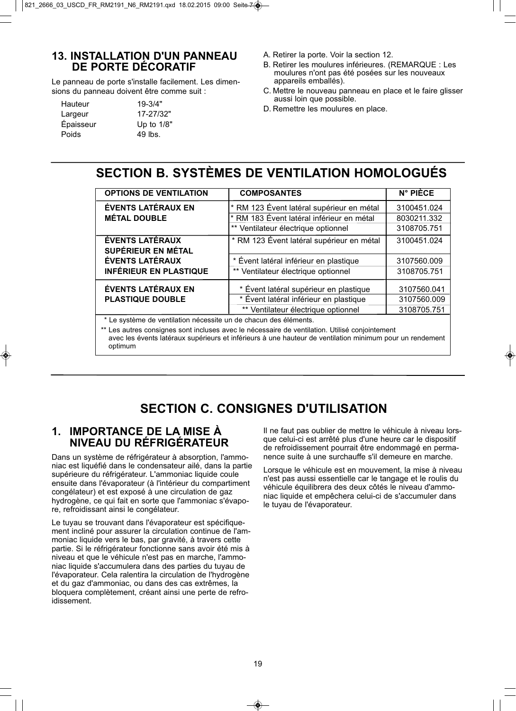### **13. INSTALLATION D'UN PANNEAU DE PORTE DÉCORATIF**

Le panneau de porte s'installe facilement. Les dimensions du panneau doivent être comme suit :

| Hauteur   | $19 - 3/4"$ |
|-----------|-------------|
| Largeur   | 17-27/32"   |
| Épaisseur | Up to 1/8"  |
| Poids     | 49 lbs.     |

- A. Retirer la porte. Voir la section 12.
- B. Retirer les moulures inférieures. (REMARQUE : Les moulures n'ont pas été posées sur les nouveaux appareils emballés).
- C. Mettre le nouveau panneau en place et le faire glisser aussi loin que possible.
- D. Remettre les moulures en place.

## **SECTION B. SYSTÈMES DE VENTILATION HOMOLOGUÉS**

| <b>OPTIONS DE VENTILATION</b>                                                                                                                                                                              | <b>COMPOSANTES</b>                                                                                                            | N° PIÈCE                                  |  |  |
|------------------------------------------------------------------------------------------------------------------------------------------------------------------------------------------------------------|-------------------------------------------------------------------------------------------------------------------------------|-------------------------------------------|--|--|
| <b>ÉVENTS LATÉRAUX EN</b><br><b>MÉTAL DOUBLE</b>                                                                                                                                                           | * RM 123 Évent latéral supérieur en métal<br>* RM 183 Évent latéral inférieur en métal<br>** Ventilateur électrique optionnel | 3100451.024<br>8030211.332<br>3108705.751 |  |  |
| <b>ÉVENTS LATÉRAUX</b><br><b>SUPÉRIEUR EN MÉTAL</b>                                                                                                                                                        | * RM 123 Évent latéral supérieur en métal                                                                                     | 3100451.024                               |  |  |
| <b>ÉVENTS LATÉRAUX</b>                                                                                                                                                                                     | * Évent latéral inférieur en plastique                                                                                        | 3107560.009                               |  |  |
| <b>INFÉRIEUR EN PLASTIQUE</b>                                                                                                                                                                              | ** Ventilateur électrique optionnel                                                                                           | 3108705.751                               |  |  |
| <b>ÉVENTS LATÉRAUX EN</b>                                                                                                                                                                                  | * Évent latéral supérieur en plastique                                                                                        | 3107560.041                               |  |  |
| <b>PLASTIQUE DOUBLE</b>                                                                                                                                                                                    | * Évent latéral inférieur en plastique<br>** Ventilateur électrique optionnel                                                 | 3107560.009<br>3108705.751                |  |  |
| * Le système de ventilation nécessite un de chacun des éléments.                                                                                                                                           |                                                                                                                               |                                           |  |  |
| ** Les autres consignes sont incluses avec le nécessaire de ventilation. Utilisé conjointement<br>avec les évents latéraux supérieurs et inférieurs à une hauteur de ventilation minimum pour un rendement |                                                                                                                               |                                           |  |  |

# **SECTION C. CONSIGNES D'UTILISATION**

### **1. IMPORTANCE DE LA MISE À NIVEAU DU RÉFRIGÉRATEUR**

optimum

Dans un système de réfrigérateur à absorption, l'ammoniac est liquéfié dans le condensateur ailé, dans la partie supérieure du réfrigérateur. L'ammoniac liquide coule ensuite dans l'évaporateur (à l'intérieur du compartiment congélateur) et est exposé à une circulation de gaz hydrogène, ce qui fait en sorte que l'ammoniac s'évapore, refroidissant ainsi le congélateur.

Le tuyau se trouvant dans l'évaporateur est spécifiquement incliné pour assurer la circulation continue de l'ammoniac liquide vers le bas, par gravité, à travers cette partie. Si le réfrigérateur fonctionne sans avoir été mis à niveau et que le véhicule n'est pas en marche, l'ammoniac liquide s'accumulera dans des parties du tuyau de l'évaporateur. Cela ralentira la circulation de l'hydrogène et du gaz d'ammoniac, ou dans des cas extrêmes, la bloquera complètement, créant ainsi une perte de refroidissement.

Il ne faut pas oublier de mettre le véhicule à niveau lorsque celui-ci est arrêté plus d'une heure car le dispositif de refroidissement pourrait être endommagé en permanence suite à une surchauffe s'il demeure en marche.

Lorsque le véhicule est en mouvement, la mise à niveau n'est pas aussi essentielle car le tangage et le roulis du véhicule équilibrera des deux côtés le niveau d'ammoniac liquide et empêchera celui-ci de s'accumuler dans le tuyau de l'évaporateur.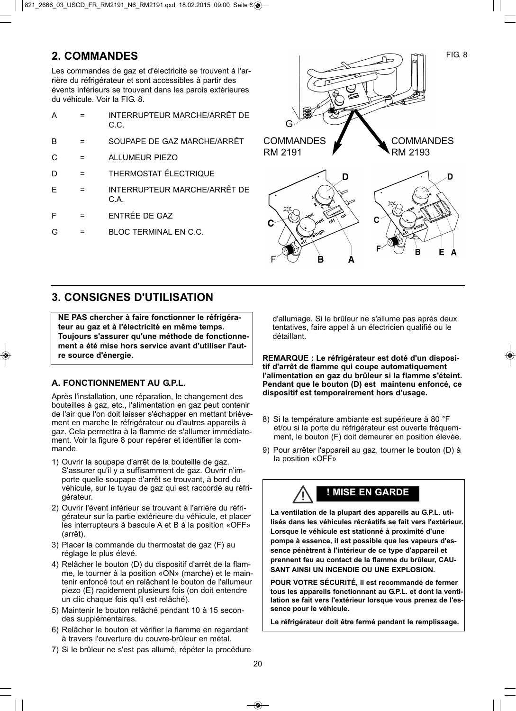### **2. COMMANDES**

Les commandes de gaz et d'électricité se trouvent à l'arrière du réfrigérateur et sont accessibles à partir des évents inférieurs se trouvant dans les parois extérieures du véhicule. Voir la FIG. 8.

|   | INTERRUPTEUR MARCHE/ARRÊT DE<br>C.C.  |
|---|---------------------------------------|
| R | SOUPAPE DE GAZ MARCHE/ARRÊT           |
|   | <b>ALLUMEUR PIEZO</b>                 |
|   | <b>THERMOSTAT ÉLECTRIQUE</b>          |
|   | INTERRUPTEUR MARCHE/ARRÊT DE<br>$C$ A |
| F | ENTRÉE DE GAZ                         |
|   | BLOC TERMINAL EN C.C.                 |



### **3. CONSIGNES D'UTILISATION**

**NE PAS chercher à faire fonctionner le réfrigérateur au gaz et à l'électricité en même temps. Toujours s'assurer qu'une méthode de fonctionnement a été mise hors service avant d'utiliser l'autre source d'énergie.**

### **A. FONCTIONNEMENT AU GPL.**

Après l'installation, une réparation, le changement des bouteilles à gaz, etc., l'alimentation en gaz peut contenir de l'air que l'on doit laisser s'échapper en mettant brièvement en marche le réfrigérateur ou d'autres appareils à gaz. Cela permettra à la flamme de s'allumer immédiatement. Voir la figure 8 pour repérer et identifier la commande.

- 1) Ouvrir la soupape d'arrêt de la bouteille de gaz. S'assurer qu'il y a suffisamment de gaz. Ouvrir n'importe quelle soupape d'arrêt se trouvant, à bord du véhicule, sur le tuyau de gaz qui est raccordé au réfrigérateur.
- 2) Ouvrir l'évent inférieur se trouvant à l'arrière du réfrigérateur sur la partie extérieure du véhicule, et placer les interrupteurs à bascule A et B à la position «OFF» (arrêt).
- 3) Placer la commande du thermostat de gaz (F) au réglage le plus élevé.
- 4) Relâcher le bouton (D) du dispositif d'arrêt de la flamme, le tourner à la position «ON» (marche) et le maintenir enfoncé tout en relâchant le bouton de l'allumeur piezo (E) rapidement plusieurs fois (on doit entendre un clic chaque fois qu'il est relâché).
- 5) Maintenir le bouton relâché pendant 10 à 15 secondes supplémentaires.
- 6) Relâcher le bouton et vérifier la flamme en regardant à travers l'ouverture du couvre-brûleur en métal.
- 7) Si le brûleur ne s'est pas allumé, répéter la procédure

d'allumage. Si le brûleur ne s'allume pas après deux tentatives, faire appel à un électricien qualifié ou le détaillant.

**REMARQUE : Le réfrigérateur est doté d'un dispositif d'arrêt de flamme qui coupe automatiquement l'alimentation en gaz du brûleur si la flamme s'éteint. Pendant que le bouton (D) est maintenu enfoncé, ce dispositif est temporairement hors d'usage.** 

- 8) Si la température ambiante est supérieure à 80 °F et/ou si la porte du réfrigérateur est ouverte fréquemment, le bouton (F) doit demeurer en position élevée.
- 9) Pour arrêter l'appareil au gaz, tourner le bouton (D) à la position «OFF»

# **! MISE EN GARDE**

**La ventilation de la plupart des appareils au G.P.L. utilisés dans les véhicules récréatifs se fait vers l'extérieur. Lorsque le véhicule est stationné à proximité d'une pompe à essence, il est possible que les vapeurs d'essence pénètrent à l'intérieur de ce type d'appareil et prennent feu au contact de la flamme du brûleur, CAU-SANT AINSI UN INCENDIE OU UNE EXPLOSION.**

**POUR VOTRE SÉCURITÉ, il est recommandé de fermer tous les appareils fonctionnant au G.P.L. et dont la ventilation se fait vers l'extérieur lorsque vous prenez de l'essence pour le véhicule.**

**Le réfrigérateur doit être fermé pendant le remplissage.**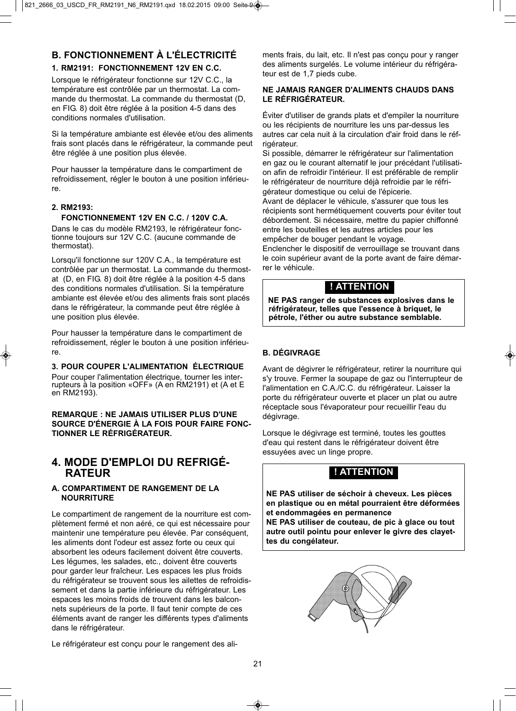### **B. FONCTIONNEMENT À L'ÉLECTRICITÉ**

#### **1. RM2191: FONCTIONNEMENT 12V EN C.C.**

Lorsque le réfrigérateur fonctionne sur 12V C.C., la température est contrôlée par un thermostat. La commande du thermostat. La commande du thermostat (D, en FIG. 8) doit être réglée à la position 4-5 dans des conditions normales d'utilisation.

Si la température ambiante est élevée et/ou des aliments frais sont placés dans le réfrigérateur, la commande peut être réglée à une position plus élevée.

Pour hausser la température dans le compartiment de refroidissement, régler le bouton à une position inférieure.

#### **2. RM2193:**

#### **FONCTIONNEMENT 12V EN C.C. / 120V C.A.**

Dans le cas du modèle RM2193, le réfrigérateur fonctionne toujours sur 12V C.C. (aucune commande de thermostat).

Lorsqu'il fonctionne sur 120V C.A., la température est contrôlée par un thermostat. La commande du thermostat (D, en FIG. 8) doit être réglée à la position 4-5 dans des conditions normales d'utilisation. Si la température ambiante est élevée et/ou des aliments frais sont placés dans le réfrigérateur, la commande peut être réglée à une position plus élevée.

Pour hausser la température dans le compartiment de refroidissement, régler le bouton à une position inférieure.

#### **3. POUR COUPER L'ALIMENTATION ÉLECTRIQUE**

Pour couper l'alimentation électrique, tourner les interrupteurs à la position «OFF» (A en RM2191) et (A et E en RM2193).

**REMARQUE : NE JAMAIS UTILISER PLUS D'UNE SOURCE D'ÉNERGIE À LA FOIS POUR FAIRE FONC-TIONNER LE RÉFRIGÉRATEUR.**

### **4. MODE D'EMPLOI DU REFRIGÉ-RATEUR**

#### **A. COMPARTIMENT DE RANGEMENT DE LA NOURRITURE**

Le compartiment de rangement de la nourriture est complètement fermé et non aéré, ce qui est nécessaire pour maintenir une température peu élevée. Par conséquent, les aliments dont l'odeur est assez forte ou ceux qui absorbent les odeurs facilement doivent être couverts. Les légumes, les salades, etc., doivent être couverts pour garder leur fraîcheur. Les espaces les plus froids du réfrigérateur se trouvent sous les ailettes de refroidissement et dans la partie inférieure du réfrigérateur. Les espaces les moins froids de trouvent dans les balconnets supérieurs de la porte. Il faut tenir compte de ces éléments avant de ranger les différents types d'aliments dans le réfrigérateur.

ments frais, du lait, etc. Il n'est pas conçu pour y ranger des aliments surgelés. Le volume intérieur du réfrigérateur est de 1,7 pieds cube.

#### **NE JAMAIS RANGER D'ALIMENTS CHAUDS DANS LE RÉFRIGÉRATEUR.**

Éviter d'utiliser de grands plats et d'empiler la nourriture ou les récipients de nourriture les uns par-dessus les autres car cela nuit à la circulation d'air froid dans le réfrigérateur.

Si possible, démarrer le réfrigérateur sur l'alimentation en gaz ou le courant alternatif le jour précédant l'utilisation afin de refroidir l'intérieur. Il est préférable de remplir le réfrigérateur de nourriture déjà refroidie par le réfrigérateur domestique ou celui de l'épicerie.

Avant de déplacer le véhicule, s'assurer que tous les récipients sont hermétiquement couverts pour éviter tout débordement. Si nécessaire, mettre du papier chiffonné entre les bouteilles et les autres articles pour les empêcher de bouger pendant le voyage.

Enclencher le dispositif de verrouillage se trouvant dans le coin supérieur avant de la porte avant de faire démarrer le véhicule.

### **! ATTENTION**

**NE PAS ranger de substances explosives dans le réfrigérateur, telles que l'essence à briquet, le pétrole, l'éther ou autre substance semblable.**

#### **B. DÉGIVRAGE**

Avant de dégivrer le réfrigérateur, retirer la nourriture qui s'y trouve. Fermer la soupape de gaz ou l'interrupteur de l'alimentation en C.A./C.C. du réfrigérateur. Laisser la porte du réfrigérateur ouverte et placer un plat ou autre réceptacle sous l'évaporateur pour recueillir l'eau du dégivrage.

Lorsque le dégivrage est terminé, toutes les gouttes d'eau qui restent dans le réfrigérateur doivent être essuyées avec un linge propre.

### **! ATTENTION**

**NE PAS utiliser de séchoir à cheveux. Les pièces en plastique ou en métal pourraient être déformées et endommagées en permanence NE PAS utiliser de couteau, de pic à glace ou tout autre outil pointu pour enlever le givre des clayettes du congélateur.**



Le réfrigérateur est conçu pour le rangement des ali-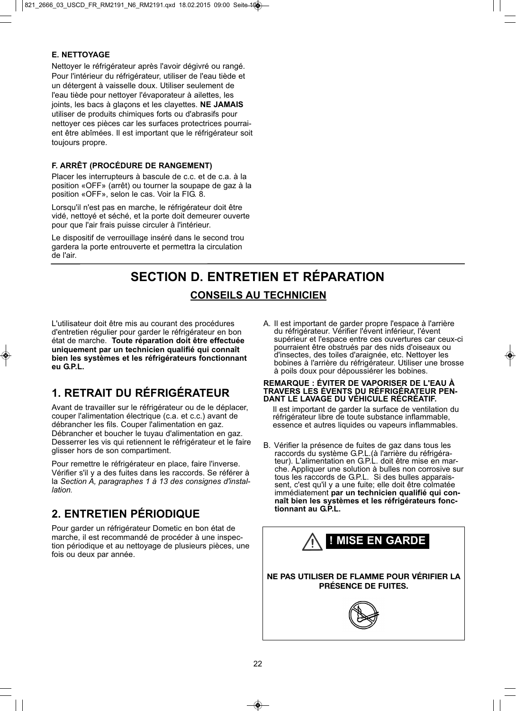#### **E. NETTOYAGE**

Nettoyer le réfrigérateur après l'avoir dégivré ou rangé. Pour l'intérieur du réfrigérateur, utiliser de l'eau tiède et un détergent à vaisselle doux. Utiliser seulement de l'eau tiède pour nettoyer l'évaporateur à ailettes, les joints, les bacs à glaçons et les clayettes. **NE JAMAIS** utiliser de produits chimiques forts ou d'abrasifs pour nettoyer ces pièces car les surfaces protectrices pourraient être abîmées. Il est important que le réfrigérateur soit toujours propre.

#### **F. ARRÊT (PROCÉDURE DE RANGEMENT)**

Placer les interrupteurs à bascule de c.c. et de c.a. à la position «OFF» (arrêt) ou tourner la soupape de gaz à la position «OFF», selon le cas. Voir la FIG. 8.

Lorsqu'il n'est pas en marche, le réfrigérateur doit être vidé, nettoyé et séché, et la porte doit demeurer ouverte pour que l'air frais puisse circuler à l'intérieur.

Le dispositif de verrouillage inséré dans le second trou gardera la porte entrouverte et permettra la circulation de l'air.

# **SECTION D. ENTRETIEN ET RÉPARATION CONSEILS AU TECHNICIEN**

L'utilisateur doit être mis au courant des procédures d'entretien régulier pour garder le réfrigérateur en bon état de marche. **Toute réparation doit être effectuée uniquement par un technicien qualifié qui connaît bien les systèmes et les réfrigérateurs fonctionnant eu G.P.L.**

### **1. RETRAIT DU RÉFRIGÉRATEUR**

Avant de travailler sur le réfrigérateur ou de le déplacer, couper l'alimentation électrique (c.a. et c.c.) avant de débrancher les fils. Couper l'alimentation en gaz. Débrancher et boucher le tuyau d'alimentation en gaz. Desserrer les vis qui retiennent le réfrigérateur et le faire glisser hors de son compartiment.

Pour remettre le réfrigérateur en place, faire l'inverse. Vérifier s'il y a des fuites dans les raccords. Se référer à la Section A, paragraphes 1 à 13 des consignes d'installation.

### **2. ENTRETIEN PÉRIODIQUE**

Pour garder un réfrigérateur Dometic en bon état de marche, il est recommandé de procéder à une inspection périodique et au nettoyage de plusieurs pièces, une fois ou deux par année.

A. Il est important de garder propre l'espace à l'arrière du réfrigérateur. Vérifier l'évent inférieur, l'évent supérieur et l'espace entre ces ouvertures car ceux-ci pourraient être obstrués par des nids d'oiseaux ou d'insectes, des toiles d'araignée, etc. Nettoyer les bobines à l'arrière du réfrigérateur. Utiliser une brosse à poils doux pour dépoussiérer les bobines.

#### **REMARQUE : ÉVITER DE VAPORISER DE L'EAU À TRAVERS LES ÉVENTS DU RÉFRIGÉRATEUR PEN-DANT LE LAVAGE DU VÉHICULE RÉCRÉATIF.**

Il est important de garder la surface de ventilation du réfrigérateur libre de toute substance inflammable, essence et autres liquides ou vapeurs inflammables.

B. Vérifier la présence de fuites de gaz dans tous les raccords du système G.P.L.(à l'arrière du réfrigérateur). L'alimentation en G.P.L. doit être mise en marche. Appliquer une solution à bulles non corrosive sur tous les raccords de G.P.L. Si des bulles apparaissent, c'est qu'il y a une fuite; elle doit être colmatée immédiatement **par un technicien qualifié qui connaît bien les systèmes et les réfrigérateurs fonctionnant au G.P.L.**

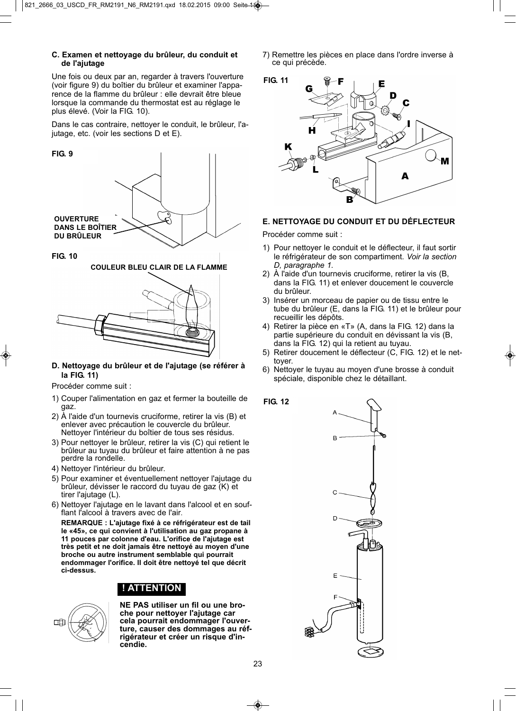#### **C. Examen et nettoyage du brûleur, du conduit et de l'ajutage**

Une fois ou deux par an, regarder à travers l'ouverture (voir figure 9) du boîtier du brûleur et examiner l'apparence de la flamme du brûleur : elle devrait être bleue lorsque la commande du thermostat est au réglage le plus élevé. (Voir la FIG. 10).

Dans le cas contraire, nettoyer le conduit, le brûleur, l'ajutage, etc. (voir les sections D et E).

#### **FIG. 9**



**FIG. 10**

**COULEUR BLEU CLAIR DE LA FLAMME**



#### **D. Nettoyage du brûleur et de l'ajutage (se référer à la FIG. 11)**

Procéder comme suit :

- 1) Couper l'alimentation en gaz et fermer la bouteille de gaz.
- 2) À l'aide d'un tournevis cruciforme, retirer la vis (B) et enlever avec précaution le couvercle du brûleur. Nettoyer l'intérieur du boîtier de tous ses résidus.
- 3) Pour nettoyer le brûleur, retirer la vis (C) qui retient le brûleur au tuyau du brûleur et faire attention à ne pas perdre la rondelle.
- 4) Nettoyer l'intérieur du brûleur.
- 5) Pour examiner et éventuellement nettoyer l'ajutage du brûleur, dévisser le raccord du tuyau de gaz (K) et tirer l'ajutage (L).
- 6) Nettoyer l'ajutage en le lavant dans l'alcool et en soufflant l'alcool à travers avec de l'air.

**REMARQUE : L'ajutage fixé à ce réfrigérateur est de tail le «45», ce qui convient à l'utilisation au gaz propane à 11 pouces par colonne d'eau. L'orifice de l'ajutage est très petit et ne doit jamais être nettoyé au moyen d'une broche ou autre instrument semblable qui pourrait endommager l'orifice. Il doit être nettoyé tel que décrit ci-dessus.**

### **! ATTENTION**



**NE PAS utiliser un fil ou une broche pour nettoyer l'ajutage car cela pourrait endommager l'ouverture, causer des dommages au réfrigérateur et créer un risque d'incendie.**

7) Remettre les pièces en place dans l'ordre inverse à ce qui précède.



#### **E. NETTOYAGE DU CONDUIT ET DU DÉFLECTEUR**

Procéder comme suit :

**FIG. 12**

- 1) Pour nettoyer le conduit et le déflecteur, il faut sortir le réfrigérateur de son compartiment. Voir la section D, paragraphe 1.
- 2) À l'aide d'un tournevis cruciforme, retirer la vis (B, dans la FIG. 11) et enlever doucement le couvercle du brûleur.
- 3) Insérer un morceau de papier ou de tissu entre le tube du brûleur (E, dans la FIG. 11) et le brûleur pour recueillir les dépôts.
- 4) Retirer la pièce en «T» (A, dans la FIG. 12) dans la partie supérieure du conduit en dévissant la vis (B, dans la FIG. 12) qui la retient au tuyau.
- 5) Retirer doucement le déflecteur (C, FIG. 12) et le nettoyer.
- 6) Nettoyer le tuyau au moyen d'une brosse à conduit spéciale, disponible chez le détaillant.